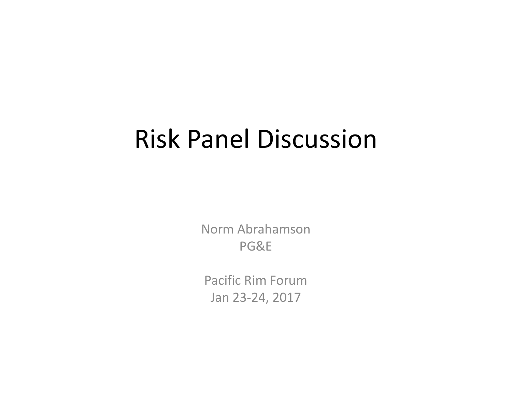### Risk Panel Discussion

Norm Abrahamson PG&E

Pacific Rim Forum Jan 23‐24, 2017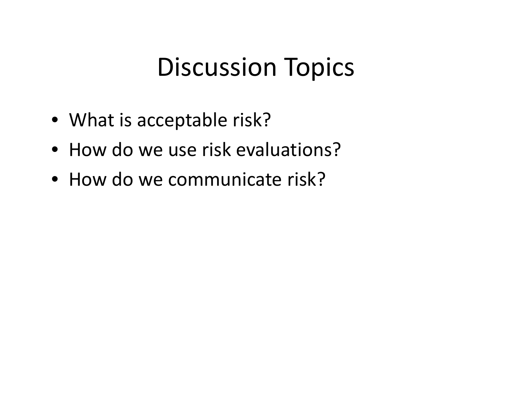### Discussion Topics

- What is acceptable risk?
- How do we use risk evaluations?
- How do we communicate risk?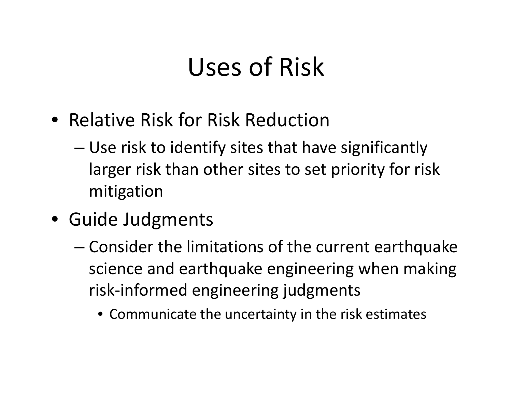# Uses of Risk

- Relative Risk for Risk Reduction
	- – Use risk to identify sites that have significantly larger risk than other sites to set priority for risk mitigation
- Guide Judgments
	- – Consider the limitations of the current earthquake science and earthquake engineering when making risk‐informed engineering judgments
		- Communicate the uncertainty in the risk estimates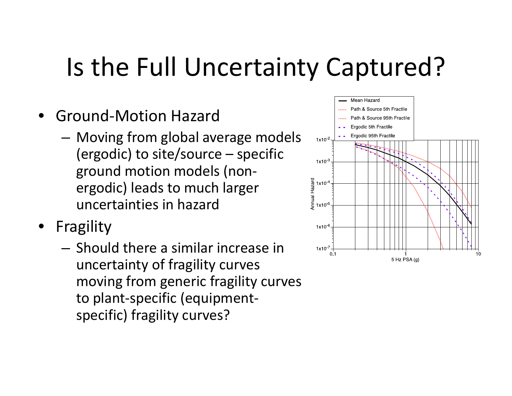# Is the Full Uncertainty Captured?

- Ground‐Motion Hazard
	- – Moving from global average models (ergodic) to site/source – specific ground motion models (non‐ ergodic) leads to much larger uncertainties in hazard
- Fragility
	- Should there <sup>a</sup> similar increase in uncertainty of fragility curves moving from generic fragility curves to plant‐specific (equipment‐ specific) fragility curves?

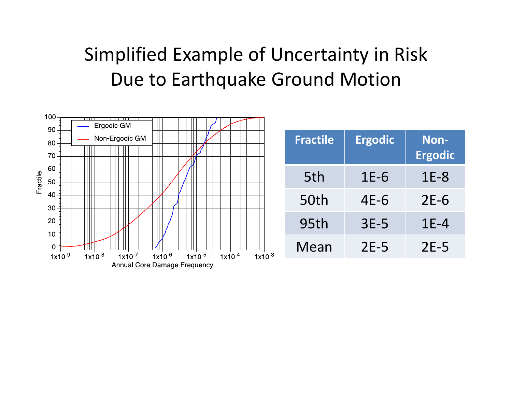#### Simplified Example of Uncertainty in Risk Due to Earthquake Ground Motion

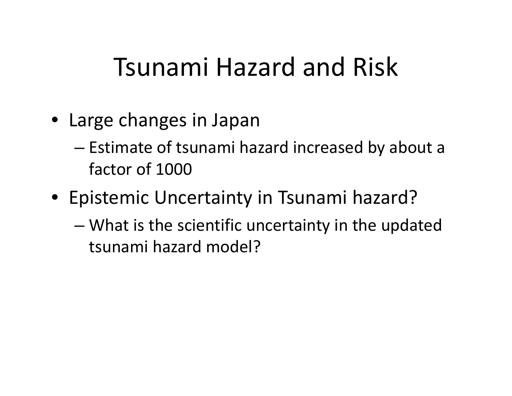### Tsunami Hazard and Risk

- Large changes in Japan
	- – $-$  Estimate of tsunami hazard increased by about a factor of 1000
- Epistemic Uncertainty in Tsunami hazard?
	- – What is the scientific uncertainty in the updated tsunami hazard model?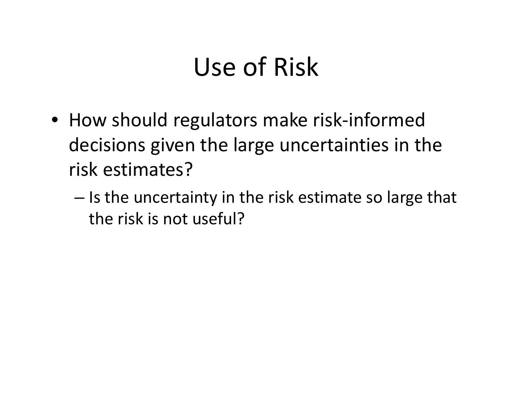# Use of Risk

- How should regulators make risk‐informed decisions given the large uncertainties in the risk estimates?
	- $-$  Is the uncertainty in the risk estimate so large that the risk is not useful?